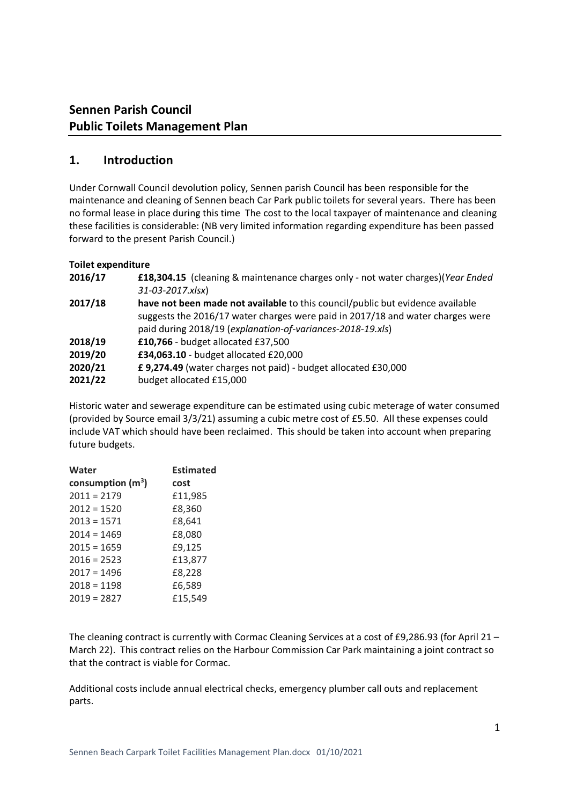# **Sennen Parish Council Public Toilets Management Plan**

## **1. Introduction**

Under Cornwall Council devolution policy, Sennen parish Council has been responsible for the maintenance and cleaning of Sennen beach Car Park public toilets for several years. There has been no formal lease in place during this time The cost to the local taxpayer of maintenance and cleaning these facilities is considerable: (NB very limited information regarding expenditure has been passed forward to the present Parish Council.)

### **Toilet expenditure**

| 2016/17 | <b>£18,304.15</b> (cleaning & maintenance charges only - not water charges)(Year Ended<br>31-03-2017.xlsx)                                   |
|---------|----------------------------------------------------------------------------------------------------------------------------------------------|
| 2017/18 | have not been made not available to this council/public but evidence available                                                               |
|         | suggests the 2016/17 water charges were paid in 2017/18 and water charges were<br>paid during 2018/19 (explanation-of-variances-2018-19.xls) |
| 2018/19 | £10,766 - budget allocated £37,500                                                                                                           |
| 2019/20 | £34,063.10 - budget allocated £20,000                                                                                                        |
| 2020/21 | £9,274.49 (water charges not paid) - budget allocated £30,000                                                                                |
| 2021/22 | budget allocated £15,000                                                                                                                     |

Historic water and sewerage expenditure can be estimated using cubic meterage of water consumed (provided by Source email 3/3/21) assuming a cubic metre cost of £5.50. All these expenses could include VAT which should have been reclaimed. This should be taken into account when preparing future budgets.

| <b>Estimated</b> |
|------------------|
| cost             |
| £11,985          |
| £8,360           |
| £8,641           |
| £8,080           |
| £9,125           |
| £13,877          |
| £8,228           |
| £6,589           |
| £15,549          |
|                  |

The cleaning contract is currently with Cormac Cleaning Services at a cost of £9,286.93 (for April 21 – March 22). This contract relies on the Harbour Commission Car Park maintaining a joint contract so that the contract is viable for Cormac.

Additional costs include annual electrical checks, emergency plumber call outs and replacement parts.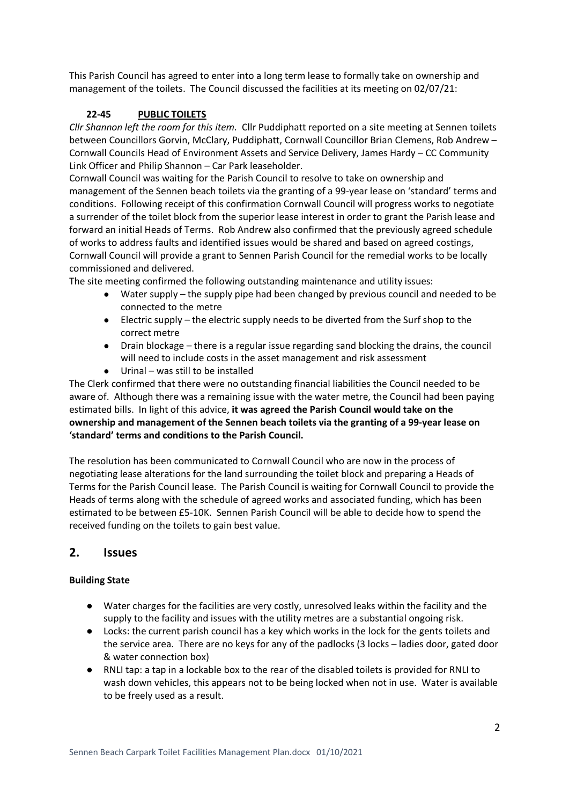This Parish Council has agreed to enter into a long term lease to formally take on ownership and management of the toilets. The Council discussed the facilities at its meeting on 02/07/21:

### **22-45 PUBLIC TOILETS**

*Cllr Shannon left the room for this item.* Cllr Puddiphatt reported on a site meeting at Sennen toilets between Councillors Gorvin, McClary, Puddiphatt, Cornwall Councillor Brian Clemens, Rob Andrew – Cornwall Councils Head of Environment Assets and Service Delivery, James Hardy – CC Community Link Officer and Philip Shannon – Car Park leaseholder.

Cornwall Council was waiting for the Parish Council to resolve to take on ownership and management of the Sennen beach toilets via the granting of a 99-year lease on 'standard' terms and conditions. Following receipt of this confirmation Cornwall Council will progress works to negotiate a surrender of the toilet block from the superior lease interest in order to grant the Parish lease and forward an initial Heads of Terms. Rob Andrew also confirmed that the previously agreed schedule of works to address faults and identified issues would be shared and based on agreed costings, Cornwall Council will provide a grant to Sennen Parish Council for the remedial works to be locally commissioned and delivered.

The site meeting confirmed the following outstanding maintenance and utility issues:

- Water supply the supply pipe had been changed by previous council and needed to be connected to the metre
- Electric supply the electric supply needs to be diverted from the Surf shop to the correct metre
- Drain blockage there is a regular issue regarding sand blocking the drains, the council will need to include costs in the asset management and risk assessment
- Urinal was still to be installed

The Clerk confirmed that there were no outstanding financial liabilities the Council needed to be aware of. Although there was a remaining issue with the water metre, the Council had been paying estimated bills. In light of this advice, **it was agreed the Parish Council would take on the ownership and management of the Sennen beach toilets via the granting of a 99-year lease on 'standard' terms and conditions to the Parish Council.**

The resolution has been communicated to Cornwall Council who are now in the process of negotiating lease alterations for the land surrounding the toilet block and preparing a Heads of Terms for the Parish Council lease. The Parish Council is waiting for Cornwall Council to provide the Heads of terms along with the schedule of agreed works and associated funding, which has been estimated to be between £5-10K. Sennen Parish Council will be able to decide how to spend the received funding on the toilets to gain best value.

## **2. Issues**

### **Building State**

- Water charges for the facilities are very costly, unresolved leaks within the facility and the supply to the facility and issues with the utility metres are a substantial ongoing risk.
- Locks: the current parish council has a key which works in the lock for the gents toilets and the service area. There are no keys for any of the padlocks (3 locks – ladies door, gated door & water connection box)
- RNLI tap: a tap in a lockable box to the rear of the disabled toilets is provided for RNLI to wash down vehicles, this appears not to be being locked when not in use. Water is available to be freely used as a result.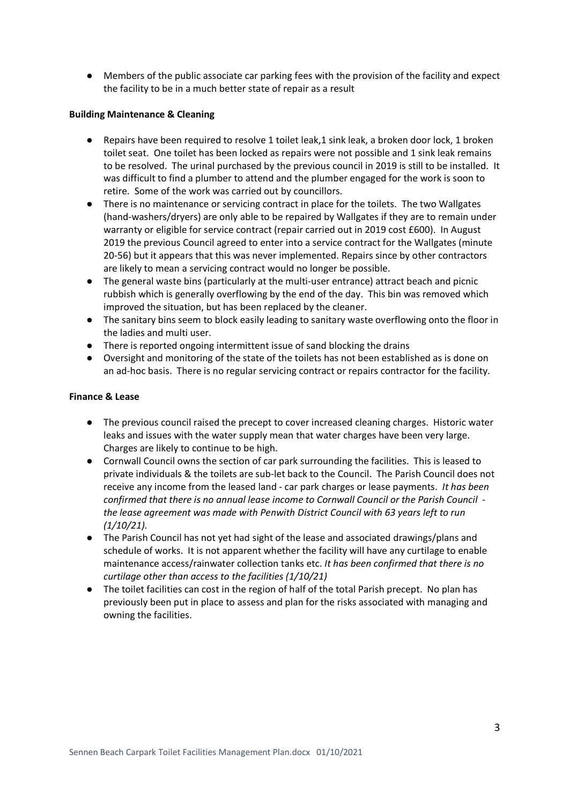● Members of the public associate car parking fees with the provision of the facility and expect the facility to be in a much better state of repair as a result

### **Building Maintenance & Cleaning**

- Repairs have been required to resolve 1 toilet leak,1 sink leak, a broken door lock, 1 broken toilet seat. One toilet has been locked as repairs were not possible and 1 sink leak remains to be resolved. The urinal purchased by the previous council in 2019 is still to be installed. It was difficult to find a plumber to attend and the plumber engaged for the work is soon to retire. Some of the work was carried out by councillors.
- There is no maintenance or servicing contract in place for the toilets. The two Wallgates (hand-washers/dryers) are only able to be repaired by Wallgates if they are to remain under warranty or eligible for service contract (repair carried out in 2019 cost £600). In August 2019 the previous Council agreed to enter into a service contract for the Wallgates (minute 20-56) but it appears that this was never implemented. Repairs since by other contractors are likely to mean a servicing contract would no longer be possible.
- The general waste bins (particularly at the multi-user entrance) attract beach and picnic rubbish which is generally overflowing by the end of the day. This bin was removed which improved the situation, but has been replaced by the cleaner.
- The sanitary bins seem to block easily leading to sanitary waste overflowing onto the floor in the ladies and multi user.
- There is reported ongoing intermittent issue of sand blocking the drains
- Oversight and monitoring of the state of the toilets has not been established as is done on an ad-hoc basis. There is no regular servicing contract or repairs contractor for the facility.

#### **Finance & Lease**

- The previous council raised the precept to cover increased cleaning charges. Historic water leaks and issues with the water supply mean that water charges have been very large. Charges are likely to continue to be high.
- Cornwall Council owns the section of car park surrounding the facilities. This is leased to private individuals & the toilets are sub-let back to the Council. The Parish Council does not receive any income from the leased land - car park charges or lease payments. *It has been confirmed that there is no annual lease income to Cornwall Council or the Parish Council the lease agreement was made with Penwith District Council with 63 years left to run (1/10/21).*
- The Parish Council has not yet had sight of the lease and associated drawings/plans and schedule of works. It is not apparent whether the facility will have any curtilage to enable maintenance access/rainwater collection tanks etc. *It has been confirmed that there is no curtilage other than access to the facilities (1/10/21)*
- The toilet facilities can cost in the region of half of the total Parish precept. No plan has previously been put in place to assess and plan for the risks associated with managing and owning the facilities.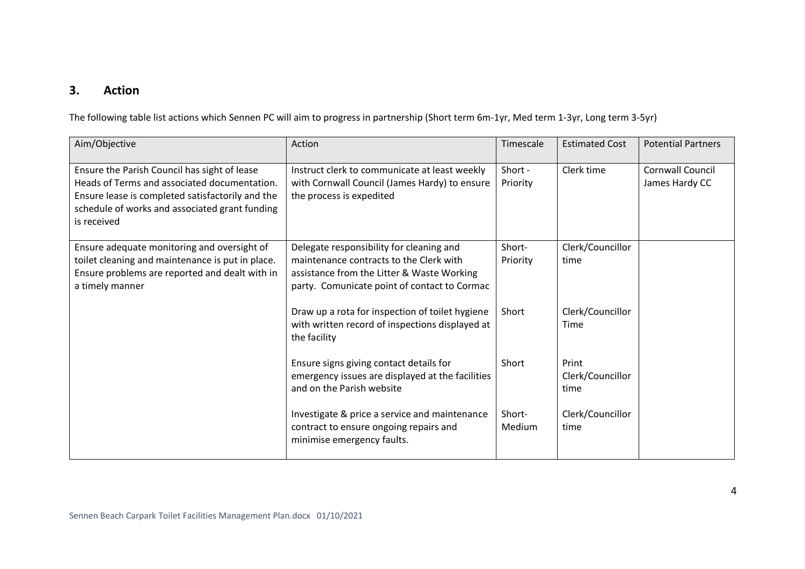# **3. Action**

The following table list actions which Sennen PC will aim to progress in partnership (Short term 6m-1yr, Med term 1-3yr, Long term 3-5yr)

| Aim/Objective                                                                                                                                                                                                     | Action                                                                                                                                                                            | Timescale           | <b>Estimated Cost</b>             | <b>Potential Partners</b>                 |
|-------------------------------------------------------------------------------------------------------------------------------------------------------------------------------------------------------------------|-----------------------------------------------------------------------------------------------------------------------------------------------------------------------------------|---------------------|-----------------------------------|-------------------------------------------|
| Ensure the Parish Council has sight of lease<br>Heads of Terms and associated documentation.<br>Ensure lease is completed satisfactorily and the<br>schedule of works and associated grant funding<br>is received | Instruct clerk to communicate at least weekly<br>with Cornwall Council (James Hardy) to ensure<br>the process is expedited                                                        | Short -<br>Priority | Clerk time                        | <b>Cornwall Council</b><br>James Hardy CC |
| Ensure adequate monitoring and oversight of<br>toilet cleaning and maintenance is put in place.<br>Ensure problems are reported and dealt with in<br>a timely manner                                              | Delegate responsibility for cleaning and<br>maintenance contracts to the Clerk with<br>assistance from the Litter & Waste Working<br>party. Comunicate point of contact to Cormac | Short-<br>Priority  | Clerk/Councillor<br>time          |                                           |
|                                                                                                                                                                                                                   | Draw up a rota for inspection of toilet hygiene<br>with written record of inspections displayed at<br>the facility                                                                | Short               | Clerk/Councillor<br>Time          |                                           |
|                                                                                                                                                                                                                   | Ensure signs giving contact details for<br>emergency issues are displayed at the facilities<br>and on the Parish website                                                          | Short               | Print<br>Clerk/Councillor<br>time |                                           |
|                                                                                                                                                                                                                   | Investigate & price a service and maintenance<br>contract to ensure ongoing repairs and<br>minimise emergency faults.                                                             | Short-<br>Medium    | Clerk/Councillor<br>time          |                                           |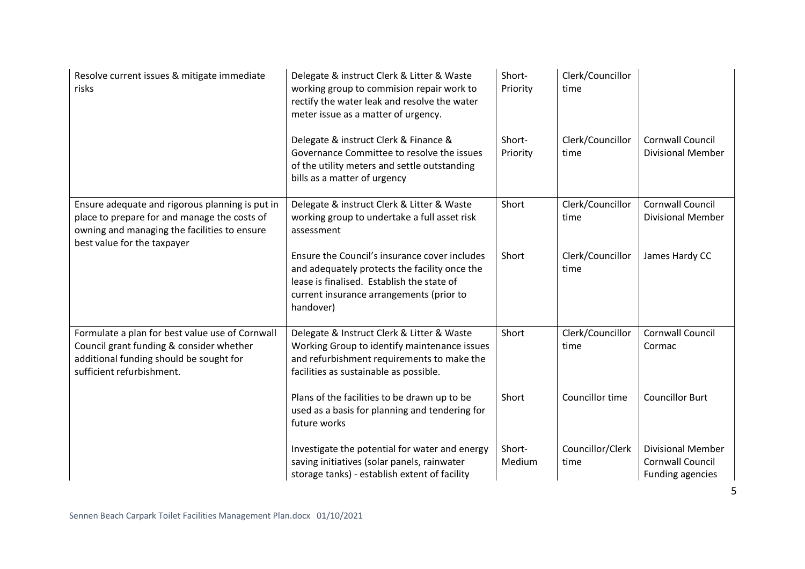| Resolve current issues & mitigate immediate<br><b>risks</b>                                                                                                                    | Delegate & instruct Clerk & Litter & Waste<br>working group to commision repair work to<br>rectify the water leak and resolve the water<br>meter issue as a matter of urgency.                        | Short-<br>Priority | Clerk/Councillor<br>time |                                                                                |
|--------------------------------------------------------------------------------------------------------------------------------------------------------------------------------|-------------------------------------------------------------------------------------------------------------------------------------------------------------------------------------------------------|--------------------|--------------------------|--------------------------------------------------------------------------------|
|                                                                                                                                                                                | Delegate & instruct Clerk & Finance &<br>Governance Committee to resolve the issues<br>of the utility meters and settle outstanding<br>bills as a matter of urgency                                   | Short-<br>Priority | Clerk/Councillor<br>time | <b>Cornwall Council</b><br><b>Divisional Member</b>                            |
| Ensure adequate and rigorous planning is put in<br>place to prepare for and manage the costs of<br>owning and managing the facilities to ensure<br>best value for the taxpayer | Delegate & instruct Clerk & Litter & Waste<br>working group to undertake a full asset risk<br>assessment                                                                                              | Short              | Clerk/Councillor<br>time | Cornwall Council<br><b>Divisional Member</b>                                   |
|                                                                                                                                                                                | Ensure the Council's insurance cover includes<br>and adequately protects the facility once the<br>lease is finalised. Establish the state of<br>current insurance arrangements (prior to<br>handover) | Short              | Clerk/Councillor<br>time | James Hardy CC                                                                 |
| Formulate a plan for best value use of Cornwall<br>Council grant funding & consider whether<br>additional funding should be sought for<br>sufficient refurbishment.            | Delegate & Instruct Clerk & Litter & Waste<br>Working Group to identify maintenance issues<br>and refurbishment requirements to make the<br>facilities as sustainable as possible.                    | Short              | Clerk/Councillor<br>time | <b>Cornwall Council</b><br>Cormac                                              |
|                                                                                                                                                                                | Plans of the facilities to be drawn up to be<br>used as a basis for planning and tendering for<br>future works                                                                                        | Short              | Councillor time          | <b>Councillor Burt</b>                                                         |
|                                                                                                                                                                                | Investigate the potential for water and energy<br>saving initiatives (solar panels, rainwater<br>storage tanks) - establish extent of facility                                                        | Short-<br>Medium   | Councillor/Clerk<br>time | <b>Divisional Member</b><br><b>Cornwall Council</b><br><b>Funding agencies</b> |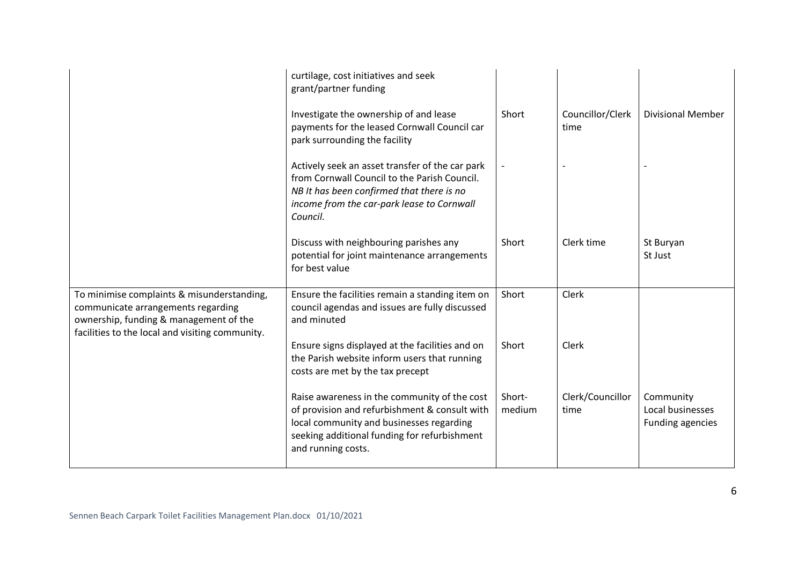|                                                                                                                                                                               | curtilage, cost initiatives and seek<br>grant/partner funding                                                                                                                                                   |                  |                          |                                                          |
|-------------------------------------------------------------------------------------------------------------------------------------------------------------------------------|-----------------------------------------------------------------------------------------------------------------------------------------------------------------------------------------------------------------|------------------|--------------------------|----------------------------------------------------------|
|                                                                                                                                                                               | Investigate the ownership of and lease<br>payments for the leased Cornwall Council car<br>park surrounding the facility                                                                                         | Short            | Councillor/Clerk<br>time | <b>Divisional Member</b>                                 |
|                                                                                                                                                                               | Actively seek an asset transfer of the car park<br>from Cornwall Council to the Parish Council.<br>NB It has been confirmed that there is no<br>income from the car-park lease to Cornwall<br>Council.          |                  |                          |                                                          |
|                                                                                                                                                                               | Discuss with neighbouring parishes any<br>potential for joint maintenance arrangements<br>for best value                                                                                                        | Short            | Clerk time               | St Buryan<br>St Just                                     |
| To minimise complaints & misunderstanding,<br>communicate arrangements regarding<br>ownership, funding & management of the<br>facilities to the local and visiting community. | Ensure the facilities remain a standing item on<br>council agendas and issues are fully discussed<br>and minuted                                                                                                | Short            | Clerk                    |                                                          |
|                                                                                                                                                                               | Ensure signs displayed at the facilities and on<br>the Parish website inform users that running<br>costs are met by the tax precept                                                                             | Short            | Clerk                    |                                                          |
|                                                                                                                                                                               | Raise awareness in the community of the cost<br>of provision and refurbishment & consult with<br>local community and businesses regarding<br>seeking additional funding for refurbishment<br>and running costs. | Short-<br>medium | Clerk/Councillor<br>time | Community<br>Local businesses<br><b>Funding agencies</b> |